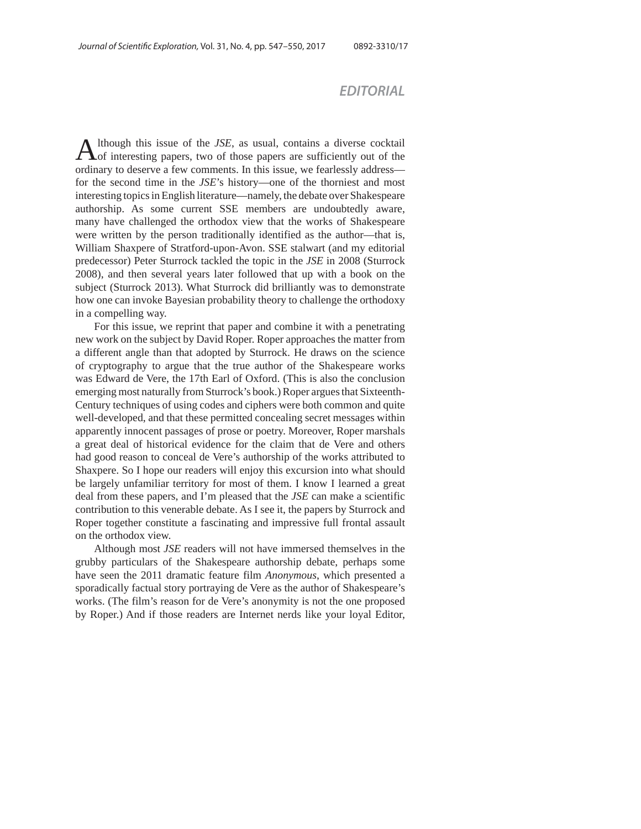## *EDITORIAL*

Although this issue of the *JSE*, as usual, contains a diverse cocktail of interesting papers, two of those papers are sufficiently out of the ordinary to deserve a few comments. In this issue, we fearlessly address for the second time in the *JSE*'s history—one of the thorniest and most interesting topics in English literature—namely, the debate over Shakespeare authorship. As some current SSE members are undoubtedly aware, many have challenged the orthodox view that the works of Shakespeare were written by the person traditionally identified as the author—that is, William Shaxpere of Stratford-upon-Avon. SSE stalwart (and my editorial predecessor) Peter Sturrock tackled the topic in the *JSE* in 2008 (Sturrock 2008), and then several years later followed that up with a book on the subject (Sturrock 2013). What Sturrock did brilliantly was to demonstrate how one can invoke Bayesian probability theory to challenge the orthodoxy in a compelling way.

For this issue, we reprint that paper and combine it with a penetrating new work on the subject by David Roper. Roper approaches the matter from a different angle than that adopted by Sturrock. He draws on the science of cryptography to argue that the true author of the Shakespeare works was Edward de Vere, the 17th Earl of Oxford. (This is also the conclusion emerging most naturally from Sturrock's book.) Roper argues that Sixteenth-Century techniques of using codes and ciphers were both common and quite well-developed, and that these permitted concealing secret messages within apparently innocent passages of prose or poetry. Moreover, Roper marshals a great deal of historical evidence for the claim that de Vere and others had good reason to conceal de Vere's authorship of the works attributed to Shaxpere. So I hope our readers will enjoy this excursion into what should be largely unfamiliar territory for most of them. I know I learned a great deal from these papers, and I'm pleased that the *JSE* can make a scientific contribution to this venerable debate. As I see it, the papers by Sturrock and Roper together constitute a fascinating and impressive full frontal assault on the orthodox view.

Although most *JSE* readers will not have immersed themselves in the grubby particulars of the Shakespeare authorship debate, perhaps some have seen the 2011 dramatic feature film *Anonymous*, which presented a sporadically factual story portraying de Vere as the author of Shakespeare's works. (The film's reason for de Vere's anonymity is not the one proposed by Roper.) And if those readers are Internet nerds like your loyal Editor,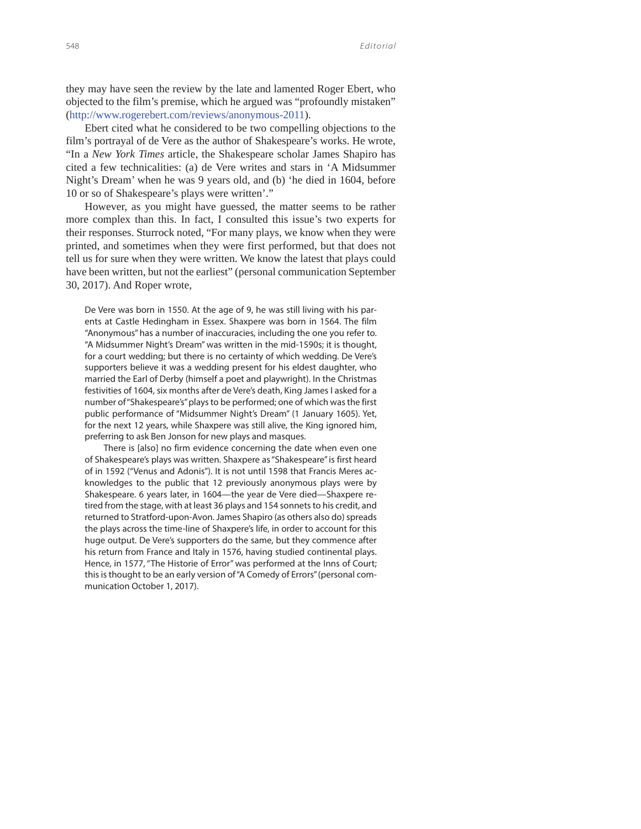they may have seen the review by the late and lamented Roger Ebert, who objected to the film's premise, which he argued was "profoundly mistaken" (http://www.rogerebert.com/reviews/anonymous-2011).

Ebert cited what he considered to be two compelling objections to the film's portrayal of de Vere as the author of Shakespeare's works. He wrote, "In a *New York Times* article, the Shakespeare scholar James Shapiro has cited a few technicalities: (a) de Vere writes and stars in 'A Midsummer Night's Dream' when he was 9 years old, and (b) 'he died in 1604, before 10 or so of Shakespeare's plays were written'."

However, as you might have guessed, the matter seems to be rather more complex than this. In fact, I consulted this issue's two experts for their responses. Sturrock noted, "For many plays, we know when they were printed, and sometimes when they were first performed, but that does not tell us for sure when they were written. We know the latest that plays could have been written, but not the earliest" (personal communication September 30, 2017). And Roper wrote,

De Vere was born in 1550. At the age of 9, he was still living with his parents at Castle Hedingham in Essex. Shaxpere was born in 1564. The film "Anonymous" has a number of inaccuracies, including the one you refer to. "A Midsummer Night's Dream" was written in the mid-1590s; it is thought, for a court wedding; but there is no certainty of which wedding. De Vere's supporters believe it was a wedding present for his eldest daughter, who married the Earl of Derby (himself a poet and playwright). In the Christmas festivities of 1604, six months after de Vere's death, King James I asked for a number of "Shakespeare's" plays to be performed; one of which was the first public performance of "Midsummer Night's Dream" (1 January 1605). Yet, for the next 12 years, while Shaxpere was still alive, the King ignored him, preferring to ask Ben Jonson for new plays and masques.

There is [also] no firm evidence concerning the date when even one of Shakespeare's plays was written. Shaxpere as "Shakespeare" is first heard of in 1592 ("Venus and Adonis"). It is not until 1598 that Francis Meres acknowledges to the public that 12 previously anonymous plays were by Shakespeare. 6 years later, in 1604—the year de Vere died—Shaxpere retired from the stage, with at least 36 plays and 154 sonnets to his credit, and returned to Stratford-upon-Avon. James Shapiro (as others also do) spreads the plays across the time-line of Shaxpere's life, in order to account for this huge output. De Vere's supporters do the same, but they commence after his return from France and Italy in 1576, having studied continental plays. Hence, in 1577, "The Historie of Error" was performed at the Inns of Court; this is thought to be an early version of "A Comedy of Errors" (personal communication October 1, 2017).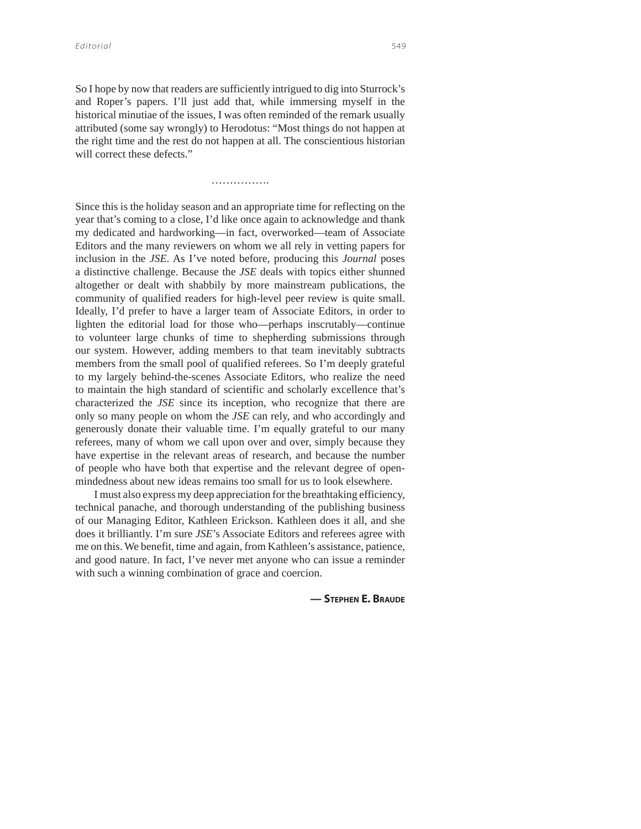So I hope by now that readers are sufficiently intrigued to dig into Sturrock's and Roper's papers. I'll just add that, while immersing myself in the historical minutiae of the issues, I was often reminded of the remark usually attributed (some say wrongly) to Herodotus: "Most things do not happen at the right time and the rest do not happen at all. The conscientious historian will correct these defects."

…………….

Since this is the holiday season and an appropriate time for reflecting on the year that's coming to a close, I'd like once again to acknowledge and thank my dedicated and hardworking—in fact, overworked—team of Associate Editors and the many reviewers on whom we all rely in vetting papers for inclusion in the *JSE*. As I've noted before, producing this *Journal* poses a distinctive challenge. Because the *JSE* deals with topics either shunned altogether or dealt with shabbily by more mainstream publications, the community of qualified readers for high-level peer review is quite small. Ideally, I'd prefer to have a larger team of Associate Editors, in order to lighten the editorial load for those who—perhaps inscrutably—continue to volunteer large chunks of time to shepherding submissions through our system. However, adding members to that team inevitably subtracts members from the small pool of qualified referees. So I'm deeply grateful to my largely behind-the-scenes Associate Editors, who realize the need to maintain the high standard of scientific and scholarly excellence that's characterized the *JSE* since its inception, who recognize that there are only so many people on whom the *JSE* can rely, and who accordingly and generously donate their valuable time. I'm equally grateful to our many referees, many of whom we call upon over and over, simply because they have expertise in the relevant areas of research, and because the number of people who have both that expertise and the relevant degree of openmindedness about new ideas remains too small for us to look elsewhere.

I must also express my deep appreciation for the breathtaking efficiency, technical panache, and thorough understanding of the publishing business of our Managing Editor, Kathleen Erickson. Kathleen does it all, and she does it brilliantly. I'm sure *JSE*'s Associate Editors and referees agree with me on this. We benefit, time and again, from Kathleen's assistance, patience, and good nature. In fact, I've never met anyone who can issue a reminder with such a winning combination of grace and coercion.

**— STEPHEN E. BRAUDE**